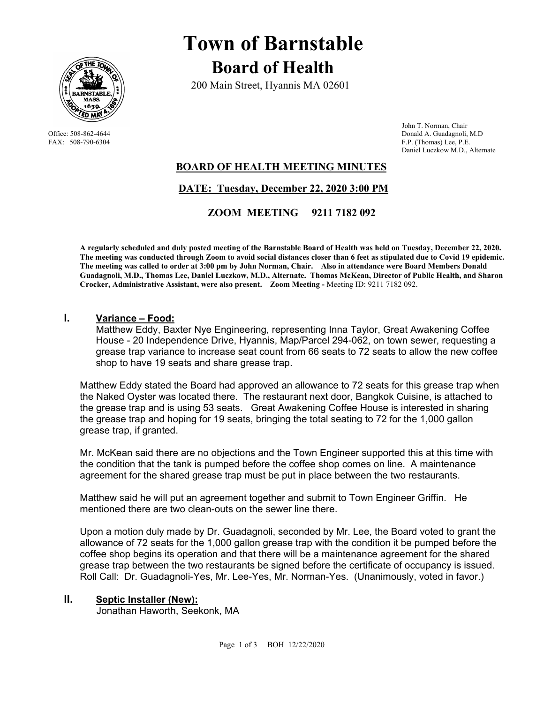

# **Town of Barnstable Board of Health**

200 Main Street, Hyannis MA 02601

 John T. Norman, Chair Office: 508-862-4644 Donald A. Guadagnoli, M.D<br>
FAX: 508-790-6304 FAX: 508-790-6304 F.P. (Thomas) Lee, P.E. F.P. (Thomas) Lee, P.E. Daniel Luczkow M.D., Alternate

## **BOARD OF HEALTH MEETING MINUTES**

## **DATE: Tuesday, December 22, 2020 3:00 PM**

## **ZOOM MEETING 9211 7182 092**

**A regularly scheduled and duly posted meeting of the Barnstable Board of Health was held on Tuesday, December 22, 2020. The meeting was conducted through Zoom to avoid social distances closer than 6 feet as stipulated due to Covid 19 epidemic. The meeting was called to order at 3:00 pm by John Norman, Chair. Also in attendance were Board Members Donald Guadagnoli, M.D., Thomas Lee, Daniel Luczkow, M.D., Alternate. Thomas McKean, Director of Public Health, and Sharon Crocker, Administrative Assistant, were also present. Zoom Meeting -** Meeting ID: 9211 7182 092.

### **I. Variance – Food:**

Matthew Eddy, Baxter Nye Engineering, representing Inna Taylor, Great Awakening Coffee House - 20 Independence Drive, Hyannis, Map/Parcel 294-062, on town sewer, requesting a grease trap variance to increase seat count from 66 seats to 72 seats to allow the new coffee shop to have 19 seats and share grease trap.

Matthew Eddy stated the Board had approved an allowance to 72 seats for this grease trap when the Naked Oyster was located there. The restaurant next door, Bangkok Cuisine, is attached to the grease trap and is using 53 seats. Great Awakening Coffee House is interested in sharing the grease trap and hoping for 19 seats, bringing the total seating to 72 for the 1,000 gallon grease trap, if granted.

Mr. McKean said there are no objections and the Town Engineer supported this at this time with the condition that the tank is pumped before the coffee shop comes on line. A maintenance agreement for the shared grease trap must be put in place between the two restaurants.

Matthew said he will put an agreement together and submit to Town Engineer Griffin. He mentioned there are two clean-outs on the sewer line there.

Upon a motion duly made by Dr. Guadagnoli, seconded by Mr. Lee, the Board voted to grant the allowance of 72 seats for the 1,000 gallon grease trap with the condition it be pumped before the coffee shop begins its operation and that there will be a maintenance agreement for the shared grease trap between the two restaurants be signed before the certificate of occupancy is issued. Roll Call: Dr. Guadagnoli-Yes, Mr. Lee-Yes, Mr. Norman-Yes. (Unanimously, voted in favor.)

### **II. Septic Installer (New):**

Jonathan Haworth, Seekonk, MA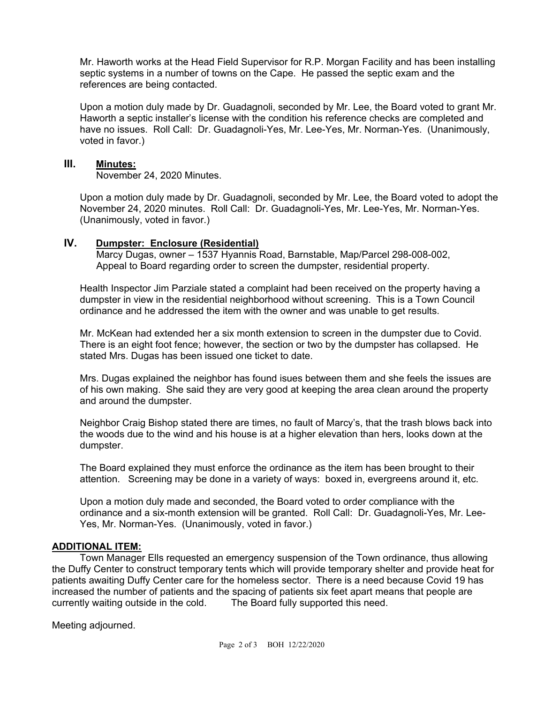Mr. Haworth works at the Head Field Supervisor for R.P. Morgan Facility and has been installing septic systems in a number of towns on the Cape. He passed the septic exam and the references are being contacted.

Upon a motion duly made by Dr. Guadagnoli, seconded by Mr. Lee, the Board voted to grant Mr. Haworth a septic installer's license with the condition his reference checks are completed and have no issues. Roll Call: Dr. Guadagnoli-Yes, Mr. Lee-Yes, Mr. Norman-Yes. (Unanimously, voted in favor.)

#### **III. Minutes:**

November 24, 2020 Minutes.

Upon a motion duly made by Dr. Guadagnoli, seconded by Mr. Lee, the Board voted to adopt the November 24, 2020 minutes. Roll Call: Dr. Guadagnoli-Yes, Mr. Lee-Yes, Mr. Norman-Yes. (Unanimously, voted in favor.)

### **IV. Dumpster: Enclosure (Residential)**

 Marcy Dugas, owner – 1537 Hyannis Road, Barnstable, Map/Parcel 298-008-002, Appeal to Board regarding order to screen the dumpster, residential property.

Health Inspector Jim Parziale stated a complaint had been received on the property having a dumpster in view in the residential neighborhood without screening. This is a Town Council ordinance and he addressed the item with the owner and was unable to get results.

Mr. McKean had extended her a six month extension to screen in the dumpster due to Covid. There is an eight foot fence; however, the section or two by the dumpster has collapsed. He stated Mrs. Dugas has been issued one ticket to date.

Mrs. Dugas explained the neighbor has found isues between them and she feels the issues are of his own making. She said they are very good at keeping the area clean around the property and around the dumpster.

Neighbor Craig Bishop stated there are times, no fault of Marcy's, that the trash blows back into the woods due to the wind and his house is at a higher elevation than hers, looks down at the dumpster.

The Board explained they must enforce the ordinance as the item has been brought to their attention. Screening may be done in a variety of ways: boxed in, evergreens around it, etc.

Upon a motion duly made and seconded, the Board voted to order compliance with the ordinance and a six-month extension will be granted. Roll Call: Dr. Guadagnoli-Yes, Mr. Lee-Yes, Mr. Norman-Yes. (Unanimously, voted in favor.)

### **ADDITIONAL ITEM:**

 Town Manager Ells requested an emergency suspension of the Town ordinance, thus allowing the Duffy Center to construct temporary tents which will provide temporary shelter and provide heat for patients awaiting Duffy Center care for the homeless sector. There is a need because Covid 19 has increased the number of patients and the spacing of patients six feet apart means that people are currently waiting outside in the cold. The Board fully supported this need.

Meeting adjourned.